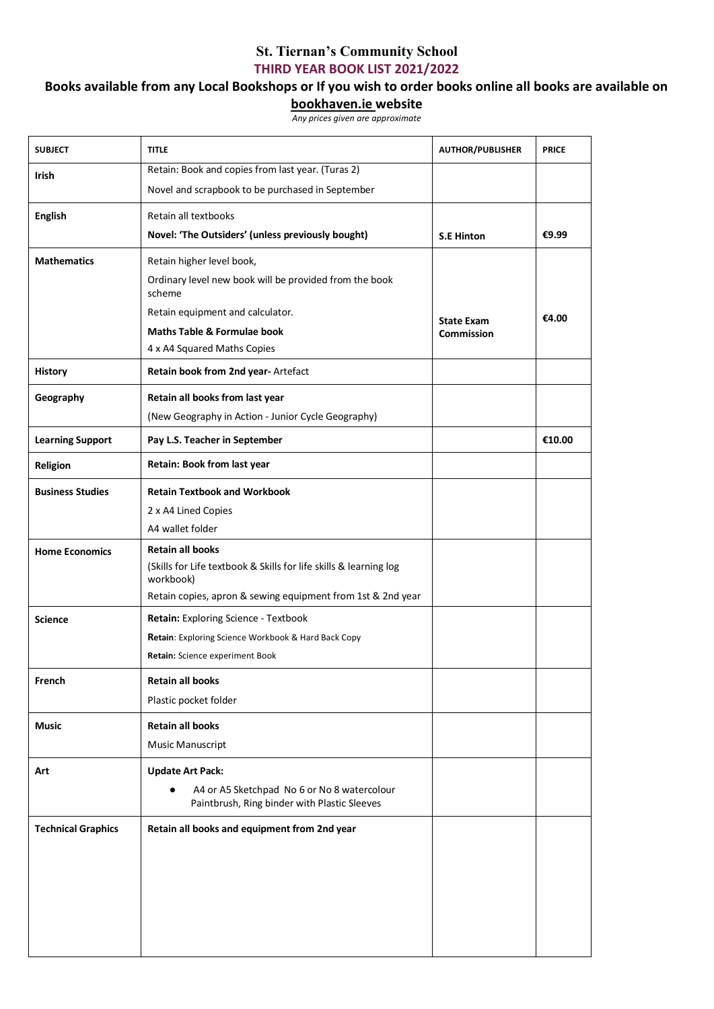## **St. Tiernan's Community School THIRD YEAR BOOK LIST 2021/2022**

## **Books available from any Local Bookshops or If you wish to order books online all books are available on**

## **bookhaven.ie website**

*Any prices given are approximate*

| <b>SUBJECT</b>            | <b>TITLE</b>                                                                                             | <b>AUTHOR/PUBLISHER</b>                | <b>PRICE</b> |
|---------------------------|----------------------------------------------------------------------------------------------------------|----------------------------------------|--------------|
| <b>Irish</b>              | Retain: Book and copies from last year. (Turas 2)                                                        |                                        |              |
|                           | Novel and scrapbook to be purchased in September                                                         |                                        |              |
| <b>English</b>            | Retain all textbooks                                                                                     |                                        |              |
|                           | Novel: 'The Outsiders' (unless previously bought)                                                        | <b>S.E Hinton</b>                      | €9.99        |
| <b>Mathematics</b>        | Retain higher level book,                                                                                |                                        |              |
|                           | Ordinary level new book will be provided from the book<br>scheme                                         |                                        |              |
|                           | Retain equipment and calculator.                                                                         | <b>State Exam</b><br><b>Commission</b> | €4.00        |
|                           | <b>Maths Table &amp; Formulae book</b>                                                                   |                                        |              |
|                           | 4 x A4 Squared Maths Copies                                                                              |                                        |              |
| <b>History</b>            | Retain book from 2nd year- Artefact                                                                      |                                        |              |
| Geography                 | Retain all books from last year                                                                          |                                        |              |
|                           | (New Geography in Action - Junior Cycle Geography)                                                       |                                        |              |
| <b>Learning Support</b>   | Pay L.S. Teacher in September                                                                            |                                        | €10.00       |
| Religion                  | Retain: Book from last year                                                                              |                                        |              |
| <b>Business Studies</b>   | <b>Retain Textbook and Workbook</b>                                                                      |                                        |              |
|                           | 2 x A4 Lined Copies                                                                                      |                                        |              |
|                           | A4 wallet folder                                                                                         |                                        |              |
| <b>Home Economics</b>     | <b>Retain all books</b>                                                                                  |                                        |              |
|                           | (Skills for Life textbook & Skills for life skills & learning log<br>workbook)                           |                                        |              |
|                           | Retain copies, apron & sewing equipment from 1st & 2nd year                                              |                                        |              |
| <b>Science</b>            | Retain: Exploring Science - Textbook                                                                     |                                        |              |
|                           | Retain: Exploring Science Workbook & Hard Back Copy                                                      |                                        |              |
|                           | Retain: Science experiment Book                                                                          |                                        |              |
| French                    | <b>Retain all books</b>                                                                                  |                                        |              |
|                           | Plastic pocket folder                                                                                    |                                        |              |
| <b>Music</b>              | <b>Retain all books</b>                                                                                  |                                        |              |
|                           | <b>Music Manuscript</b>                                                                                  |                                        |              |
| Art                       | <b>Update Art Pack:</b>                                                                                  |                                        |              |
|                           | A4 or A5 Sketchpad No 6 or No 8 watercolour<br>$\bullet$<br>Paintbrush, Ring binder with Plastic Sleeves |                                        |              |
| <b>Technical Graphics</b> | Retain all books and equipment from 2nd year                                                             |                                        |              |
|                           |                                                                                                          |                                        |              |
|                           |                                                                                                          |                                        |              |
|                           |                                                                                                          |                                        |              |
|                           |                                                                                                          |                                        |              |
|                           |                                                                                                          |                                        |              |
|                           |                                                                                                          |                                        |              |